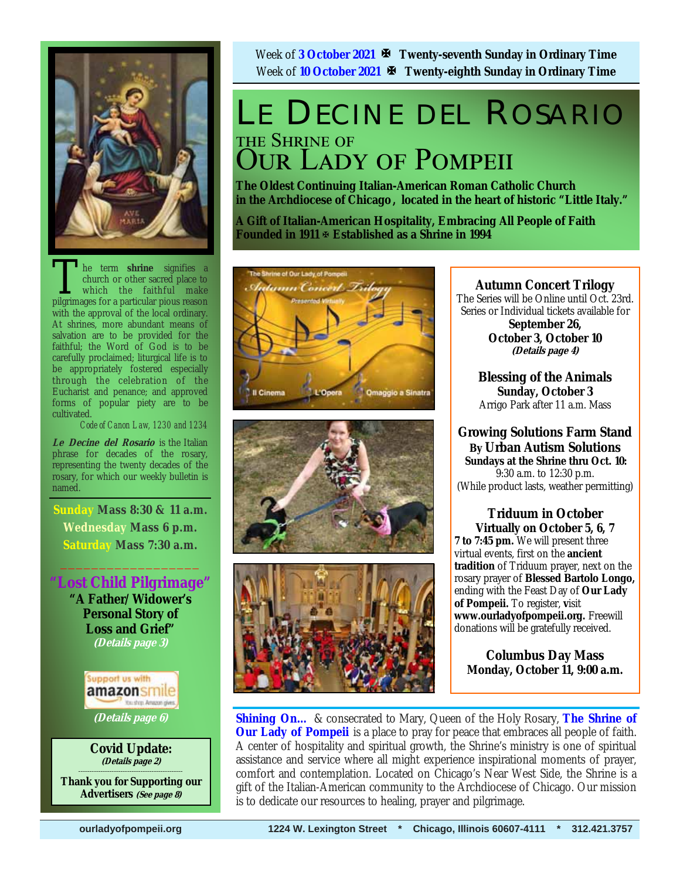

The term **shrine** signifies a church or other sacred place to which the faithful make pilerimages for a particular pious reason church or other sacred place to which the faithful make pilgrimages for a particular pious reason with the approval of the local ordinary. At shrines, more abundant means of salvation are to be provided for the faithful; the Word of God is to be carefully proclaimed; liturgical life is to be appropriately fostered especially through the celebration of the Eucharist and penance; and approved forms of popular piety are to be cultivated.

*Code of Canon Law, 1230 and 1234* 

**Le Decine del Rosario** is the Italian phrase for decades of the rosary, representing the twenty decades of the rosary, for which our weekly bulletin is named.

 **Sunday Mass 8:30 & 11 a.m. Wednesday Mass 6 p.m. Saturday Mass 7:30 a.m.** 

 $\frac{1}{2}$  ,  $\frac{1}{2}$  ,  $\frac{1}{2}$  ,  $\frac{1}{2}$  ,  $\frac{1}{2}$  ,  $\frac{1}{2}$  ,  $\frac{1}{2}$ 

**"Lost Child Pilgrimage" "A Father/Widower's Personal Story of Loss and Grief" (Details page 3)** 



**(Details page 6)**

**Covid Update: (Details page 2) \_\_\_\_\_\_\_\_\_\_\_\_\_\_\_\_\_\_\_\_\_\_\_\_\_\_\_\_\_\_\_\_\_\_\_\_\_\_\_\_\_\_\_\_\_\_\_** 

**Thank you for Supporting our Advertisers (See page 8)**

Week of **3 October 2021 Twenty-seventh Sunday in Ordinary Time** Week of **10 October 2021 Twenty-eighth Sunday in Ordinary Time** 

## LE DECINE DEL ROSARIO THE SHRINE OF **OUR LADY OF POMPEII**

**The Oldest Continuing Italian-American Roman Catholic Church in the Archdiocese of Chicago , located in the heart of historic "Little Italy."** 

**A Gift of Italian-American Hospitality, Embracing All People of Faith Founded in 1911 Established as a Shrine in 1994**







### **Autumn Concert Trilogy**

The Series will be Online until Oct. 23rd. Series or Individual tickets available for

**September 26, October 3, October 10 (Details page 4)**

**Blessing of the Animals Sunday, October 3**  Arrigo Park after 11 a.m. Mass

**Growing Solutions Farm Stand By Urban Autism Solutions Sundays at the Shrine thru Oct. 10:**  9:30 a.m. to 12:30 p.m. (While product lasts, weather permitting)

**Triduum in October Virtually on October 5, 6, 7 7 to 7:45 pm.** We will present three virtual events, first on the **ancient tradition** of Triduum prayer, next on the rosary prayer of **Blessed Bartolo Longo,**  ending with the Feast Day of **Our Lady of Pompeii.** To register, **v**isit **www.ourladyofpompeii.org.** Freewill donations will be gratefully received.

**Columbus Day Mass Monday, October 11, 9:00 a.m.** 

**Shining On…** & consecrated to Mary, Queen of the Holy Rosary, **The Shrine of Our Lady of Pompeii** is a place to pray for peace that embraces all people of faith. A center of hospitality and spiritual growth, the Shrine's ministry is one of spiritual assistance and service where all might experience inspirational moments of prayer, comfort and contemplation. Located on Chicago's Near West Side, the Shrine is a gift of the Italian-American community to the Archdiocese of Chicago. Our mission is to dedicate our resources to healing, prayer and pilgrimage.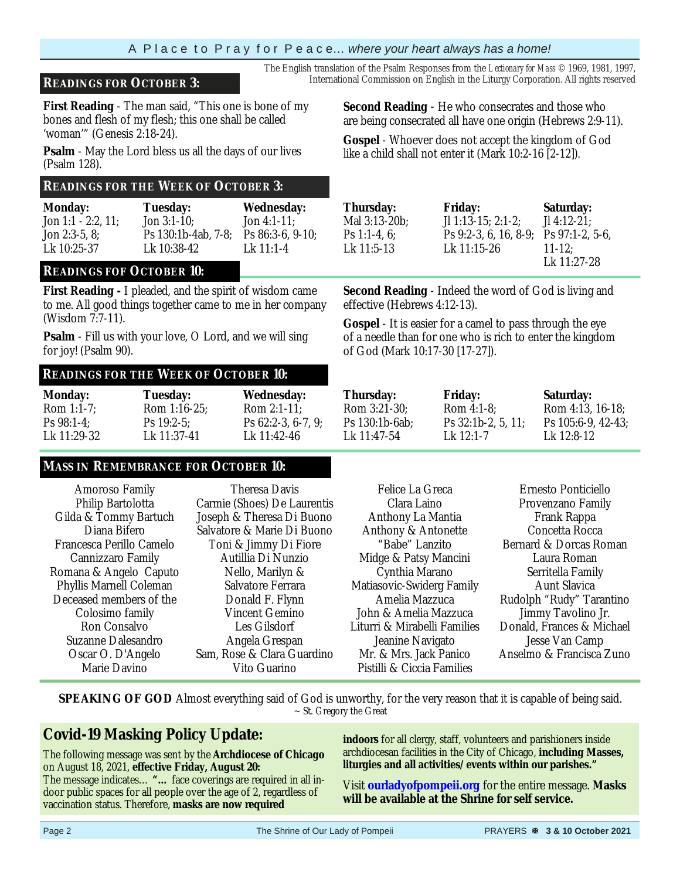#### A P l a c e t o P r a y f o r P e a c e… *where your heart always has a home!*

#### **READINGS FOR OCTOBER 3:** International Commission on English in the Liturgy Corporation. All rights reserved

**First Reading** - The man said, "This one is bone of my bones and flesh of my flesh; this one shall be called 'woman'" (Genesis 2:18-24).

**Psalm** - May the Lord bless us all the days of our lives (Psalm 128).

#### **READINGS FOR THE WEEK OF OCTOBER 3:**

| <b>Monday:</b>     | <b>Tuesday:</b>     | <b>Wednesday:</b>   |
|--------------------|---------------------|---------------------|
| Jon 1:1 - 2:2, 11: | Jon $3:1-10$ ;      | Jon 4:1-11:         |
| Jon $2:3-5.8$      | Ps 130:1b-4ab, 7-8; | Ps $86:3-6, 9-10$ ; |
| Lk 10:25-37        | Lk 10:38-42         | Lk 11:1-4           |

#### **READINGS FOF OCTOBER 10:**

**First Reading -** I pleaded, and the spirit of wisdom came to me. All good things together came to me in her company (Wisdom 7:7-11).

**Psalm** - Fill us with your love, O Lord, and we will sing for joy! (Psalm 90).

#### **READINGS FOR THE WEEK OF OCTOBER 10:**

| <b>Monday:</b> | Tuesday:        | <b>Wednesday:</b>    |   |
|----------------|-----------------|----------------------|---|
| Rom $1:1-7$ ;  | Rom $1:16-25$ ; | Rom $2:1-11$ ;       | Б |
| $Ps 98:1-4$    | $Ps$ 19:2-5:    | $Ps 62:2-3, 6-7, 9;$ |   |
| Lk 11:29-32    | Lk 11:37-41     | Lk 11:42-46          |   |

#### **MASS IN REMEMBRANCE FOR OCTOBER 10:**

| Amoroso Family<br>Philip Bartolotta<br>Gilda & Tommy Bartuch<br>Diana Bifero<br>Francesca Perillo Camelo<br>Cannizzaro Family<br>Romana & Angelo Caputo<br>Phyllis Marnell Coleman | Theresa Davis<br>Carmie (Shoes) De Laurentis<br>Joseph & Theresa Di Buono<br>Salvatore & Marie Di Buono<br>Toni & Jimmy Di Fiore<br>Autillia Di Nunzio<br>Nello, Marilyn &<br>Salvatore Ferrara | Felice La Greca<br>Clara Laino<br>Anthony La Mantia<br>Anthony & Antonette<br>"Babe" Lanzito<br>Midge & Patsy Mancini<br>Cynthia Marano<br>Matiasovic-Swiderg Family |
|------------------------------------------------------------------------------------------------------------------------------------------------------------------------------------|-------------------------------------------------------------------------------------------------------------------------------------------------------------------------------------------------|----------------------------------------------------------------------------------------------------------------------------------------------------------------------|
|                                                                                                                                                                                    |                                                                                                                                                                                                 |                                                                                                                                                                      |
|                                                                                                                                                                                    |                                                                                                                                                                                                 |                                                                                                                                                                      |
|                                                                                                                                                                                    |                                                                                                                                                                                                 |                                                                                                                                                                      |
| Deceased members of the                                                                                                                                                            | Donald F. Flynn                                                                                                                                                                                 | Amelia Mazzuca                                                                                                                                                       |
| Colosimo family                                                                                                                                                                    | Vincent Gemino                                                                                                                                                                                  | John & Amelia Mazzuca                                                                                                                                                |
| Ron Consalvo                                                                                                                                                                       | Les Gilsdorf                                                                                                                                                                                    | Liturri & Mirabelli Families                                                                                                                                         |
| Suzanne Dalesandro                                                                                                                                                                 | Angela Grespan                                                                                                                                                                                  | Jeanine Navigato                                                                                                                                                     |
| Oscar O. D'Angelo                                                                                                                                                                  | Sam, Rose & Clara Guardino                                                                                                                                                                      | Mr. & Mrs. Jack Panico                                                                                                                                               |
| Marie Davino                                                                                                                                                                       | Vito Guarino                                                                                                                                                                                    | Pistilli & Ciccia Families                                                                                                                                           |
|                                                                                                                                                                                    |                                                                                                                                                                                                 |                                                                                                                                                                      |

**SPEAKING OF GOD** Almost everything said of God is unworthy, for the very reason that it is capable of being said. ~ St. Gregory the Great

### **Covid-19 Masking Policy Update:**

The following message was sent by the **Archdiocese of Chicago**  on August 18, 2021, **effective Friday, August 20:** 

The message indicates… **"…** face coverings are required in all indoor public spaces for all people over the age of 2, regardless of vaccination status. Therefore, **masks are now required** 

**Second Reading** - He who consecrates and those who are being consecrated all have one origin (Hebrews 2:9-11).

The English translation of the Psalm Responses from the *Lectionary for Mass* © 1969, 1981, 1997,

**Gospel** - Whoever does not accept the kingdom of God like a child shall not enter it (Mark 10:2-16 [2-12]).

| Thursday:     |  |
|---------------|--|
| Mal 3:13-20b; |  |
| Ps 1:1-4, 6;  |  |
| Lk 11:5-13    |  |
|               |  |

**Friday:**  Jl 1:13-15; 2:1-2; Ps 9:2-3, 6, 16, 8-9; Ps 97:1-2, 5-6, Lk 11:15-26

**Saturday:**  Jl 4:12-21; 11-12;<br>Lk 11:27-28

**Second Reading** - Indeed the word of God is living and effective (Hebrews 4:12-13).

**Gospel** - It is easier for a camel to pass through the eye of a needle than for one who is rich to enter the kingdom of God (Mark 10:17-30 [17-27]).

| Frida      |
|------------|
| <b>Rom</b> |
| Ps 32      |
| Lk 12      |
|            |

ay:  $4:1-8;$  $2:1b-2, 5, 11;$  $2.1 - 7$ 

**Saturday:** Rom 4:13, 16-18; Ps 105:6-9, 42-43; Lk  $12.8 - 12$ 

| elice La Greca       | Ernesto Ponticiello       |
|----------------------|---------------------------|
| Clara Laino          | Provenzano Family         |
| hony La Mantia       | Frank Rappa               |
| ony & Antonette      | Concetta Rocca            |
| 3abe" Lanzito        | Bernard & Dorcas Roman    |
| e & Patsy Mancini    | Laura Roman               |
| ⁄nthia Marano        | Serritella Family         |
| vic-Swiderg Family   | Aunt Slavica              |
| nelia Mazzuca        | Rudolph "Rudy" Tarantino  |
| & Amelia Mazzuca     | Jimmy Tavolino Jr.        |
| & Mirabelli Families | Donald, Frances & Michael |
| ınine Navigato       | Jesse Van Camp            |
| Mrs. Jack Panico     | Anselmo & Francisca Zuno  |
| & Ciccia Families    |                           |
|                      |                           |

**indoors** for all clergy, staff, volunteers and parishioners inside archdiocesan facilities in the City of Chicago, **including Masses, liturgies and all activities/events within our parishes."** 

Visit **ourladyofpompeii.org** for the entire message. **Masks will be available at the Shrine for self service.**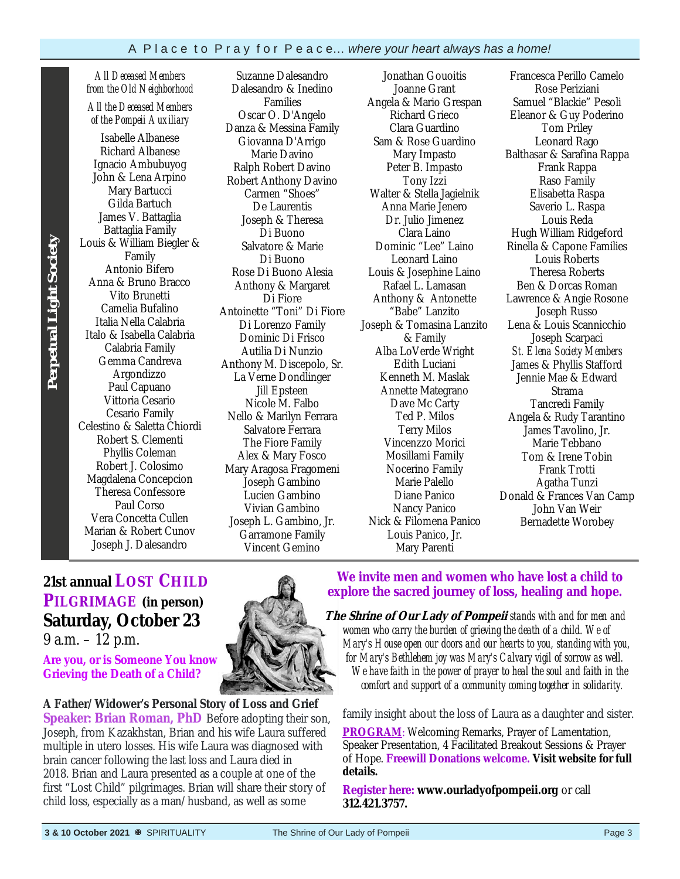*All Deceased Members from the Old Neighborhood All the Deceased Members* 

*of the Pompeii Auxiliary*  Isabelle Albanese Richard Albanese Ignacio Ambubuyog John & Lena Arpino Mary Bartucci Gilda Bartuch James V. Battaglia Battaglia Family Louis & William Biegler & Family Antonio Bifero Anna & Bruno Bracco Vito Brunetti Camelia Bufalino Italia Nella Calabria Italo & Isabella Calabria Calabria Family Gemma Candreva Argondizzo Paul Capuano Vittoria Cesario Cesario Family Celestino & Saletta Chiordi Robert S. Clementi Phyllis Coleman Robert J. Colosimo Magdalena Concepcion Theresa Confessore Paul Corso Vera Concetta Cullen Marian & Robert Cunov Joseph J. Dalesandro

Suzanne Dalesandro Dalesandro & Inedino Families Oscar O. D'Angelo Danza & Messina Family Giovanna D'Arrigo Marie Davino Ralph Robert Davino Robert Anthony Davino Carmen "Shoes" De Laurentis Joseph & Theresa Di Buono Salvatore & Marie Di Buono Rose Di Buono Alesia Anthony & Margaret Di Fiore Antoinette "Toni" Di Fiore Di Lorenzo Family Dominic Di Frisco Autilia Di Nunzio Anthony M. Discepolo, Sr. La Verne Dondlinger Jill Epsteen Nicole M. Falbo Nello & Marilyn Ferrara Salvatore Ferrara The Fiore Family Alex & Mary Fosco Mary Aragosa Fragomeni Joseph Gambino Lucien Gambino Vivian Gambino Joseph L. Gambino, Jr. Garramone Family Vincent Gemino

Jonathan Gouoitis Joanne Grant Angela & Mario Grespan Richard Grieco Clara Guardino Sam & Rose Guardino Mary Impasto Peter B. Impasto Tony Izzi Walter & Stella Jagielnik Anna Marie Jenero Dr. Julio Jimenez Clara Laino Dominic "Lee" Laino Leonard Laino Louis & Josephine Laino Rafael L. Lamasan Anthony & Antonette "Babe" Lanzito Joseph & Tomasina Lanzito & Family Alba LoVerde Wright Edith Luciani Kenneth M. Maslak Annette Mategrano Dave Mc Carty Ted P. Milos Terry Milos Vincenzzo Morici Mosillami Family Nocerino Family Marie Palello Diane Panico Nancy Panico Nick & Filomena Panico Louis Panico, Jr. Mary Parenti

Francesca Perillo Camelo Rose Periziani Samuel "Blackie" Pesoli Eleanor & Guy Poderino Tom Priley Leonard Rago Balthasar & Sarafina Rappa Frank Rappa Raso Family Elisabetta Raspa Saverio L. Raspa Louis Reda Hugh William Ridgeford Rinella & Capone Families Louis Roberts Theresa Roberts Ben & Dorcas Roman Lawrence & Angie Rosone Joseph Russo Lena & Louis Scannicchio Joseph Scarpaci *St. Elena Society Members*  James & Phyllis Stafford Jennie Mae & Edward Strama Tancredi Family Angela & Rudy Tarantino James Tavolino, Jr. Marie Tebbano Tom & Irene Tobin Frank Trotti Agatha Tunzi Donald & Frances Van Camp John Van Weir Bernadette Worobey

### **21st annual LOST CHILD PILGRIMAGE (in person) Saturday, October 23**

9 a.m. – 12 p.m.

**Are you, or is Someone You know Grieving the Death of a Child?** 

**A Father/Widower's Personal Story of Loss and Grief Speaker: Brian Roman, PhD** Before adopting their son, Joseph, from Kazakhstan, Brian and his wife Laura suffered multiple in utero losses. His wife Laura was diagnosed with brain cancer following the last loss and Laura died in 2018. Brian and Laura presented as a couple at one of the first "Lost Child" pilgrimages. Brian will share their story of child loss, especially as a man/husband, as well as some

### **We invite men and women who have lost a child to explore the sacred journey of loss, healing and hope.**

 **The Shrine of Our Lady of Pompeii** *stands with and for men and women who carry the burden of grieving the death of a child. We of Mary's House open our doors and our hearts to you, standing with you, for Mary's Bethlehem joy was Mary's Calvary vigil of sorrow as well. We have faith in the power of prayer to heal the soul and faith in the comfort and support of a community coming together in solidarity.* 

family insight about the loss of Laura as a daughter and sister.

**PROGRAM:** Welcoming Remarks, Prayer of Lamentation, Speaker Presentation, 4 Facilitated Breakout Sessions & Prayer of Hope. **Freewill Donations welcome. Visit website for full details.** 

**Register here: www.ourladyofpompeii.org** or call **312.421.3757.** 

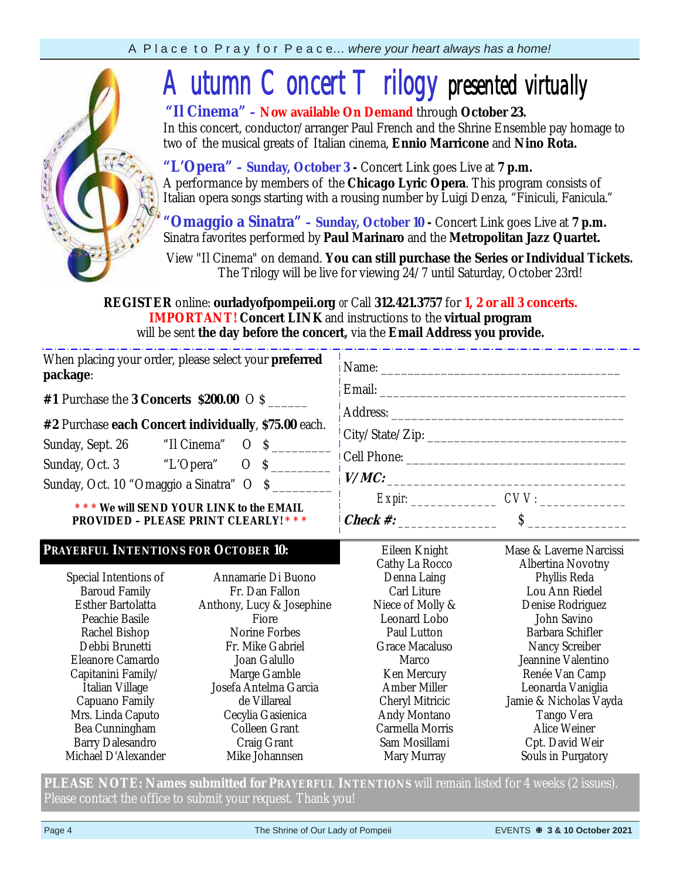

# *Autumn Concert Trilogy presented virtually*

 **"Il Cinema" – Now available On Demand** through **October 23.**  In this concert, conductor/arranger Paul French and the Shrine Ensemble pay homage to two of the musical greats of Italian cinema, **Ennio Marricone** and **Nino Rota.** 

"L'Opera" - Sunday, October 3 - Concert Link goes Live at 7 p.m. A performance by members of the **Chicago Lyric Opera**. This program consists of Italian opera songs starting with a rousing number by Luigi Denza, "Finiculi, Fanicula."

**"Omaggio a Sinatra" – Sunday, October 10 -** Concert Link goes Live at **7 p.m.**  Sinatra favorites performed by **Paul Marinaro** and the **Metropolitan Jazz Quartet.**

View "Il Cinema" on demand. **You can still purchase the Series or Individual Tickets.** The Trilogy will be live for viewing 24/7 until Saturday, October 23rd!

**REGISTER** online: **ourladyofpompeii.org** *or* Call **312.421.3757** for **1, 2 or all 3 concerts. IMPORTANT! Concert LINK** and instructions to the **virtual program**  will be sent **the day before the concert,** via the **Email Address you provide.** 

| When placing your order, please select your <b>preferred</b><br>package:<br>#1 Purchase the 3 Concerts \$200.00 $\circ$ \$<br>#2 Purchase each Concert individually, \$75.00 each.<br>Sunday, Oct. 10 "Omaggio a Sinatra" O \$<br>*** We will SEND YOUR LINK to the EMAIL<br><b>PROVIDED - PLEASE PRINT CLEARLY! ***</b> |                                                                                                                                                                                                                                               | V/MC:<br>$\textit{Expir:}\_\_\_\_\_\_$ $\textit{CVV:}\_\_\_\_\_\_\_\_$                                                                                                                                                                            |                                                                                                                                                                                                                                                                                                 |  |  |  |
|--------------------------------------------------------------------------------------------------------------------------------------------------------------------------------------------------------------------------------------------------------------------------------------------------------------------------|-----------------------------------------------------------------------------------------------------------------------------------------------------------------------------------------------------------------------------------------------|---------------------------------------------------------------------------------------------------------------------------------------------------------------------------------------------------------------------------------------------------|-------------------------------------------------------------------------------------------------------------------------------------------------------------------------------------------------------------------------------------------------------------------------------------------------|--|--|--|
| PRAYERFUL INTENTIONS FOR OCTOBER 10:<br>Special Intentions of<br><b>Baroud Family</b><br>Esther Bartolatta<br>Peachie Basile<br>Rachel Bishop<br>Debbi Brunetti<br>Eleanore Camardo<br>Capitanini Family/<br>Italian Village<br>Capuano Family<br>Mrs. Linda Caputo<br>Bea Cunningham<br><b>Barry Dalesandro</b>         | Annamarie Di Buono<br>Fr. Dan Fallon<br>Anthony, Lucy & Josephine<br>Fiore<br>Norine Forbes<br>Fr. Mike Gabriel<br>Joan Galullo<br>Marge Gamble<br>Josefa Antelma Garcia<br>de Villareal<br>Cecylia Gasienica<br>Colleen Grant<br>Craig Grant | Eileen Knight<br>Cathy La Rocco<br>Denna Laing<br>Carl Liture<br>Niece of Molly &<br>Leonard Lobo<br>Paul Lutton<br>Grace Macaluso<br>Marco<br>Ken Mercury<br>Amber Miller<br>Cheryl Mitricic<br>Andy Montano<br>Carmella Morris<br>Sam Mosillami | Mase & Laverne Narcissi<br>Albertina Novotny<br>Phyllis Reda<br>Lou Ann Riedel<br>Denise Rodriguez<br>John Savino<br>Barbara Schifler<br>Nancy Screiber<br>Jeannine Valentino<br>Renée Van Camp<br>Leonarda Vaniglia<br>Jamie & Nicholas Vayda<br>Tango Vera<br>Alice Weiner<br>Cpt. David Weir |  |  |  |

**PLEASE NOTE: Names submitted for PRAYERFUL INTENTIONS** will remain listed for 4 weeks (2 issues). Please contact the office to submit your request. Thank you!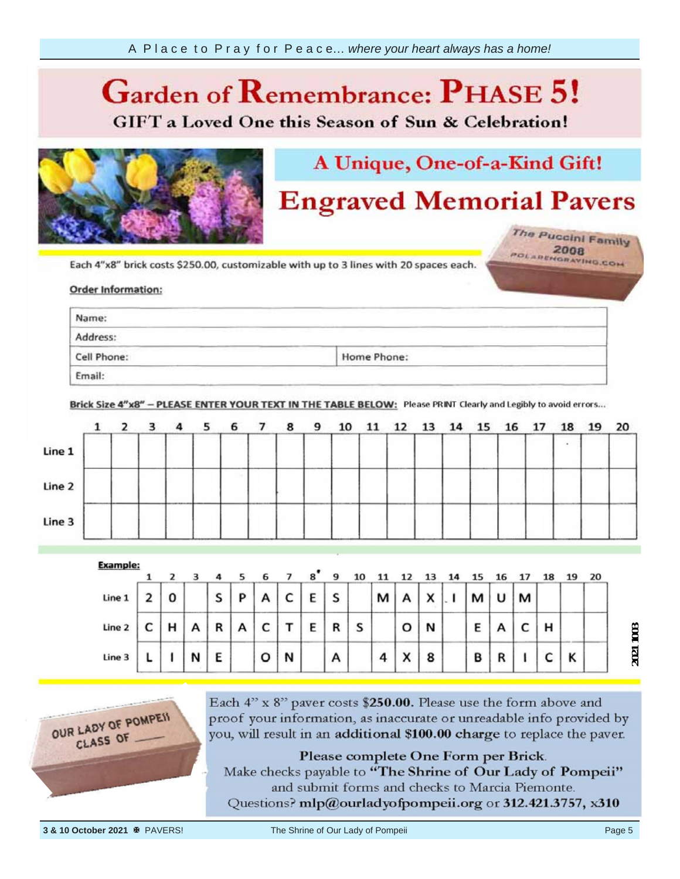### $\overline{\mathcal{C}}$ **Phase 6.**

**GIFT** a Loved One this Season of Sun & Celebration!



# A Unique, One-of-a-Kind Gift!

# **Engraved Memorial Pavers**

The Puccini Family POLAREHORATING.COM

Each 4"x8" brick costs \$250.00, customizable with up to 3 lines with 20 spaces each.

#### unreadable info **provided** information

| Name:                                                                                   | <b>Contract Contract</b>                                                                                                                                                                                                                                                                     |                                                                                                                                                                                                                                |
|-----------------------------------------------------------------------------------------|----------------------------------------------------------------------------------------------------------------------------------------------------------------------------------------------------------------------------------------------------------------------------------------------|--------------------------------------------------------------------------------------------------------------------------------------------------------------------------------------------------------------------------------|
| the property of the company of the company of the company of the company of<br>Address: | and the second contract of the second contract of the second contract of the second contract of the second contract of the second contract of the second contract of the second contract of the second contract of the second<br>and the company of the company<br>and the second control of | the property of the control of the control of the control of the control of the control of the control of the control of the control of the control of the control of the control of the control of the control of the control |
| and the company's property of the<br>Cell Phone:                                        | and the state of the control of the control of the control of the control of the control of the control of the<br><b>The Common Common</b><br>_____<br>Home Phone:                                                                                                                           | and the property of the con-                                                                                                                                                                                                   |

Brick Size 4"x8" - PLEASE ENTER YOUR TEXT IN THE TABLE BELOW: Please PRINT Clearly and Legibly to avoid errors...



|        |   |   | 4 |   |   |                     |   |   |   |   |           |              |   |   |   | 18 |   | 20 |
|--------|---|---|---|---|---|---------------------|---|---|---|---|-----------|--------------|---|---|---|----|---|----|
| Line 1 | 0 |   | S | P |   | C<br>◡              | E | S |   | м |           | $\checkmark$ | м | υ | м |    |   |    |
| Line 2 | н | Α | R | A | ◡ |                     | E | R | S |   | o         | N            | Ε |   |   | н  |   |    |
| Line 3 |   | N | E |   | o | <b>COLLANS</b><br>N |   | А |   | 4 | $\lambda$ | 8            | В | R |   |    | Κ |    |





Each 4" x 8" paver costs \$250.00. Please use the form above and proof your information, as inaccurate or unreadable info provided by you, will result in an additional \$100.00 charge to replace the paver.

Please complete One Form per Brick.

Make checks payable to "The Shrine of Our Lady of Pompeii" and submit forms and checks to Marcia Piemonte. Questions? mlp@ourladyofpompeii.org or 312.421.3757, x310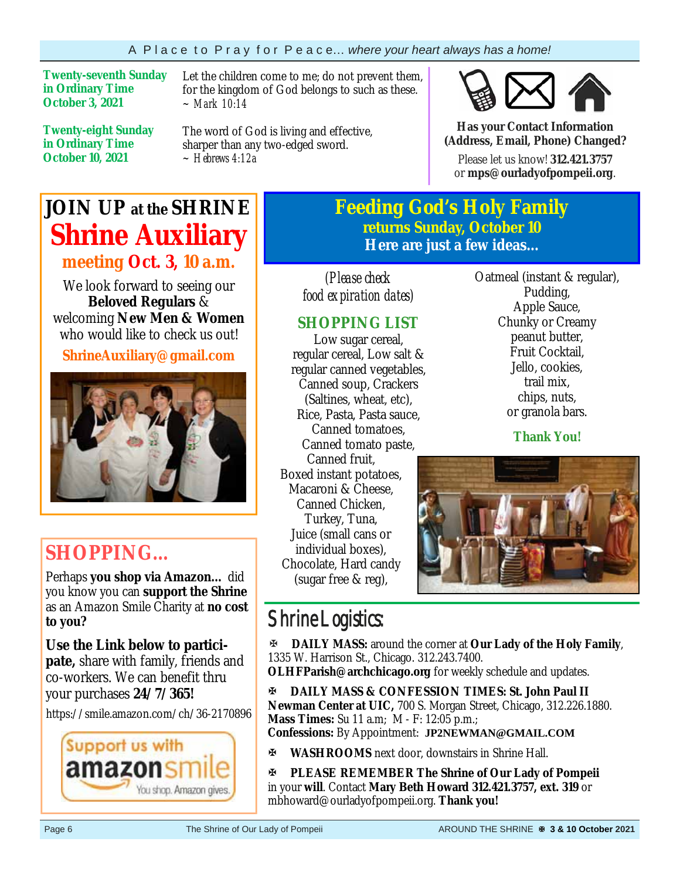**Twenty-seventh Sunday in Ordinary Time October 3, 2021** 

**Twenty-eight Sunday in Ordinary Time October 10, 2021**

Let the children come to me; do not prevent them, for the kingdom of God belongs to such as these. *~ Mark 10:14* 

The word of God is living and effective, sharper than any two-edged sword. *~ Hebrews 4:12a*



**Has your Contact Information (Address, Email, Phone) Changed?**

Please let us know! **312.421.3757**  or **mps@ourladyofpompeii.org**.

### **JOIN UP at the SHRINE Shrine Auxiliary meeting Oct. 3, 10 a.m.**

We look forward to seeing our **Beloved Regulars** & welcoming **New Men & Women**  who would like to check us out!

**ShrineAuxiliary@gmail.com** 



### **SHOPPING…**

Perhaps **you shop via Amazon…** did you know you can **support the Shrine**  as an Amazon Smile Charity at **no cost to you?** 

**Use the Link below to participate,** share with family, friends and co-workers. We can benefit thru your purchases **24/7/365!**

https://smile.amazon.com/ch/36-2170896



### **Feeding God's Holy Family returns Sunday, October 10 Here are just a few ideas...**

*(Please check food expiration dates)* 

### **SHOPPING LIST**

Low sugar cereal, regular cereal, Low salt & regular canned vegetables, Canned soup, Crackers (Saltines, wheat, etc), Rice, Pasta, Pasta sauce, Canned tomatoes, Canned tomato paste, Canned fruit, Boxed instant potatoes, Macaroni & Cheese, Canned Chicken, Turkey, Tuna, Juice (small cans or individual boxes), Chocolate, Hard candy (sugar free & reg),

Oatmeal (instant & regular), Pudding, Apple Sauce, Chunky or Creamy peanut butter, Fruit Cocktail, Jello, cookies, trail mix, chips, nuts, or granola bars.

**Thank You!**



### Shrine Logistics:

**DAILY MASS:** around the corner at **Our Lady of the Holy Family**, 1335 W. Harrison St., Chicago. 312.243.7400.

**OLHFParish@archchicago.org** for weekly schedule and updates.

**DAILY MASS & CONFESSION TIMES: St. John Paul II Newman Center at UIC,** 700 S. Morgan Street, Chicago, 312.226.1880. **Mass Times:** Su 11 a.m; M - F: 12:05 p.m.; **Confessions:** By Appointment: **JP2NEWMAN@GMAIL.COM**

**WASHROOMS** next door, downstairs in Shrine Hall.

**PLEASE REMEMBER The Shrine of Our Lady of Pompeii**  in your **will**. Contact **Mary Beth Howard 312.421.3757, ext. 319** or mbhoward@ourladyofpompeii.org. **Thank you!**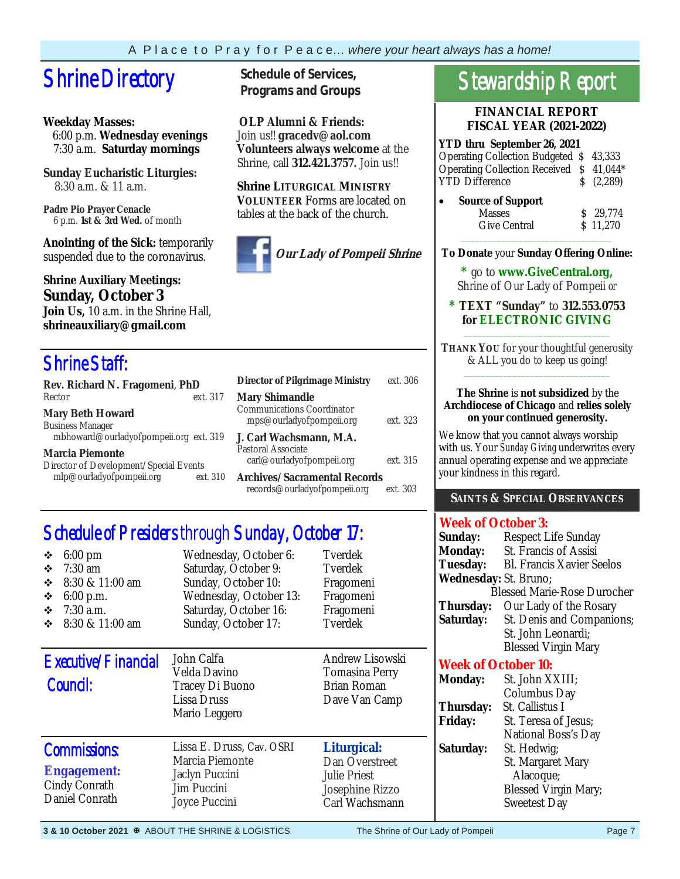# **Shrine Directory** Schedule of Services,

### **Weekday Masses:**

 6:00 p.m. **Wednesday evenings** 7:30 a.m. **Saturday mornings**

**Sunday Eucharistic Liturgies:** 8:30 a.m. & 11 a.m.

**Padre Pio Prayer Cenacle** 6 p.m. **1st & 3rd Wed.** of month

**Anointing of the Sick:** temporarily suspended due to the coronavirus.

### **Shrine Auxiliary Meetings: Sunday, October 3**

**Join Us,** 10 a.m. in the Shrine Hall, **shrineauxiliary@gmail.com** 

### Shrine Staff:

| Rev. Richard N. Fragomeni, PhD                                                               |          |
|----------------------------------------------------------------------------------------------|----------|
| Rector                                                                                       | ext. 317 |
| <b>Mary Beth Howard</b><br><b>Business Manager</b><br>mbhoward@ourladyofpompeii.org ext. 319 |          |
| <b>Marcia Piemonte</b><br>Director of Development/Special Events<br>mlp@ourladyofpompeii.org | ext.310  |

**Programs and Groups**

**OLP Alumni & Friends:**  Join us!! **gracedv@aol.com Volunteers always welcome** at the Shrine, call **312.421.3757.** Join us!!

**Shrine LITURGICAL MINISTRY VOLUNTEER** Forms are located on tables at the back of the church.



| <b>Director of Pilgrimage Ministry</b>                                          | ext. 306 |
|---------------------------------------------------------------------------------|----------|
| <b>Mary Shimandle</b><br>Communications Coordinator<br>mps@ourladyofpompeii.org | ext. 323 |
| J. Carl Wachsmann. M.A.<br>Pastoral Associate<br>carl@ourladyofpompeii.org      | ext. 315 |
| Archives/Sacramental Records<br>records@ourladyofpompeii.org                    | ext. 303 |

### Schedule of Presiders through Sunday, October 17:

| $6:00 \text{ pm}$<br>❖<br>$7:30$ am<br>❖<br>8:30 & 11:00 am<br>❖<br>6:00 p.m.<br>❖<br>$7:30$ a.m.<br>❖<br>8:30 & 11:00 am<br>❖ | Wednesday, October 6:<br>Saturday, October 9:<br>Sunday, October 10:<br>Wednesday, October 13:<br>Saturday, October 16:<br>Sunday, October 17: | Tverdek<br>Tverdek<br>Fragomeni<br>Fragomeni<br>Fragomeni<br>Tverdek                      |
|--------------------------------------------------------------------------------------------------------------------------------|------------------------------------------------------------------------------------------------------------------------------------------------|-------------------------------------------------------------------------------------------|
| Executive/Financial<br>Council:                                                                                                | John Calfa<br>Velda Davino<br>Tracey Di Buono<br>Lissa Druss<br>Mario Leggero                                                                  | Andrew Lisowski<br>Tomasina Perry<br><b>Brian Roman</b><br>Dave Van Camp                  |
| <b>Commissions:</b><br><b>Engagement:</b><br>Cindy Conrath<br>Daniel Conrath                                                   | Lissa E. Druss, Cav. OSRI<br>Marcia Piemonte<br>Jaclyn Puccini<br>Jim Puccini<br>Joyce Puccini                                                 | Liturgical:<br>Dan Overstreet<br><b>Julie Priest</b><br>Josephine Rizzo<br>Carl Wachsmann |

# Stewardship Report

**FINANCIAL REPORT FISCAL YEAR (2021-2022)** 

**YTD thru September 26, 2021**  Operating Collection Budgeted \$ 43,333 Operating Collection Received \$ 41,044\* YTD Difference  $\qquad \qquad$  \$ (2,289)

| $\bullet$ | <b>Source of Support</b> |            |
|-----------|--------------------------|------------|
|           | <b>Masses</b>            | $S$ 29.774 |
|           | Give Central             | \$11.270   |
|           |                          |            |

**To Donate** your **Sunday Offering Online:** 

**\*** go to **www.GiveCentral.org,** Shrine of Our Lady of Pompeii *or* 

#### **\* TEXT "Sunday"** to **312.553.0753 for ELECTRONIC GIVING** \_\_\_\_\_\_\_\_\_\_\_\_\_\_\_\_\_\_\_\_\_\_\_\_\_\_\_\_\_\_\_\_\_

**THANK YOU** for your thoughtful generosity & ALL you do to keep us going! \_\_\_\_\_\_\_\_\_\_\_\_\_\_\_\_\_\_\_\_\_\_\_\_\_\_\_\_\_\_\_\_\_

#### **The Shrine** is **not subsidized** by the **Archdiocese of Chicago** and **relies solely on your continued generosity.**

We know that you cannot always worship with us. Your *Sunday Giving* underwrites every annual operating expense and we appreciate your kindness in this regard.

### **SAINTS & SPECIAL OBSERVANCES**

### **Week of October 3:**

| Sunday:                            | Respect Life Sunday              |  |  |  |
|------------------------------------|----------------------------------|--|--|--|
| <b>Monday:</b>                     | St. Francis of Assisi            |  |  |  |
| <b>Tuesday:</b>                    | <b>Bl. Francis Xavier Seelos</b> |  |  |  |
| Wednesday: St. Bruno;              |                                  |  |  |  |
| <b>Blessed Marie-Rose Durocher</b> |                                  |  |  |  |
| Thursday:                          | Our Lady of the Rosary           |  |  |  |
| Saturday:                          | St. Denis and Companions;        |  |  |  |
|                                    | St. John Leonardi;               |  |  |  |
|                                    | <b>Blessed Virgin Mary</b>       |  |  |  |
| Wall - CO - 1 - 1 - 10 -           |                                  |  |  |  |

### **Week of October 10:**

| <b>Monday:</b> | St. John XXIII;             |
|----------------|-----------------------------|
|                | Columbus Day                |
| Thursday:      | St. Callistus I             |
| <b>Friday:</b> | St. Teresa of Jesus;        |
|                | National Boss's Day         |
| Saturday:      | St. Hedwig;                 |
|                | St. Margaret Mary           |
|                | Alacoque;                   |
|                | <b>Blessed Virgin Mary;</b> |
|                | Sweetest Day                |
|                |                             |